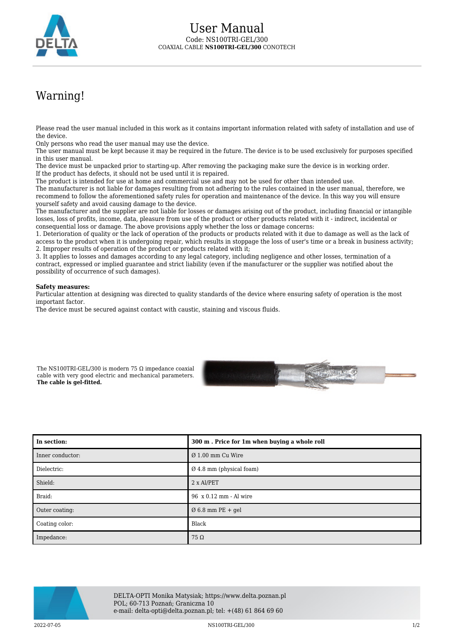

## Warning!

Please read the user manual included in this work as it contains important information related with safety of installation and use of the device.

Only persons who read the user manual may use the device.

The user manual must be kept because it may be required in the future. The device is to be used exclusively for purposes specified in this user manual.

The device must be unpacked prior to starting-up. After removing the packaging make sure the device is in working order. If the product has defects, it should not be used until it is repaired.

The product is intended for use at home and commercial use and may not be used for other than intended use.

The manufacturer is not liable for damages resulting from not adhering to the rules contained in the user manual, therefore, we recommend to follow the aforementioned safety rules for operation and maintenance of the device. In this way you will ensure yourself safety and avoid causing damage to the device.

The manufacturer and the supplier are not liable for losses or damages arising out of the product, including financial or intangible losses, loss of profits, income, data, pleasure from use of the product or other products related with it - indirect, incidental or consequential loss or damage. The above provisions apply whether the loss or damage concerns:

1. Deterioration of quality or the lack of operation of the products or products related with it due to damage as well as the lack of access to the product when it is undergoing repair, which results in stoppage the loss of user's time or a break in business activity; 2. Improper results of operation of the product or products related with it;

3. It applies to losses and damages according to any legal category, including negligence and other losses, termination of a contract, expressed or implied guarantee and strict liability (even if the manufacturer or the supplier was notified about the possibility of occurrence of such damages).

## **Safety measures:**

Particular attention at designing was directed to quality standards of the device where ensuring safety of operation is the most important factor.

The device must be secured against contact with caustic, staining and viscous fluids.

The NS100TRI-GEL/300 is modern 75  $\Omega$  impedance coaxial cable with very good electric and mechanical parameters. **The cable is gel-fitted.**



| In section:      | 300 m. Price for 1m when buying a whole roll |
|------------------|----------------------------------------------|
| Inner conductor: | $\varnothing$ 1.00 mm Cu Wire                |
| Dielectric:      | $\varnothing$ 4.8 mm (physical foam)         |
| Shield:          | 2 x Al/PET                                   |
| Braid:           | 96 x 0.12 mm - Al wire                       |
| Outer coating:   | $\varnothing$ 6.8 mm PE + gel                |
| Coating color:   | Black                                        |
| Impedance:       | $75 \Omega$                                  |



DELTA-OPTI Monika Matysiak; https://www.delta.poznan.pl POL; 60-713 Poznań; Graniczna 10 e-mail: delta-opti@delta.poznan.pl; tel: +(48) 61 864 69 60